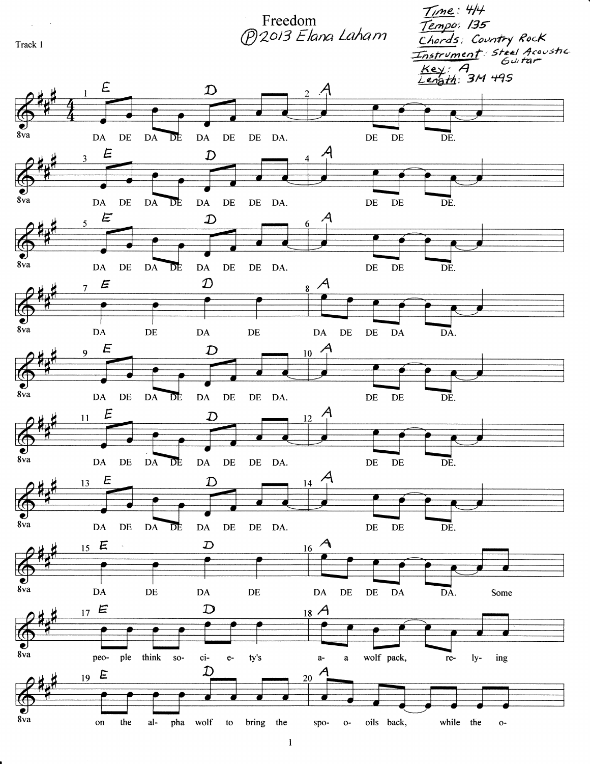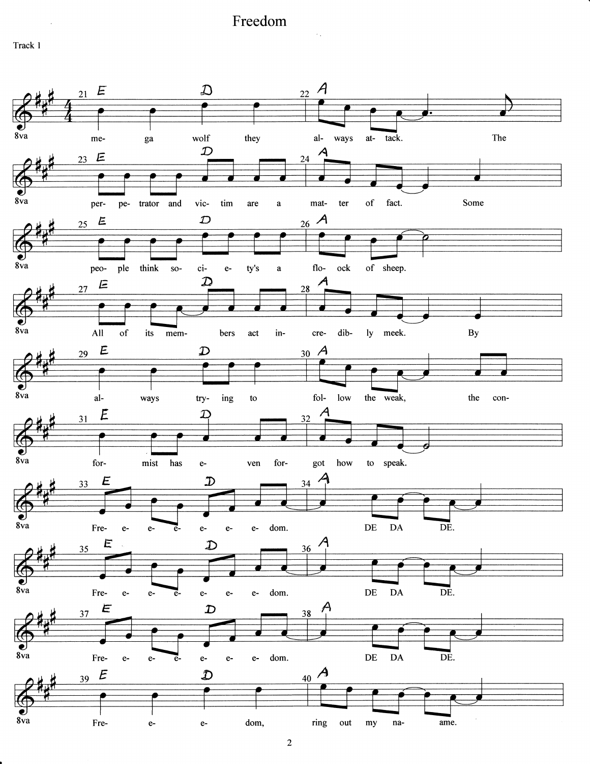$\sim$  .

Track 1

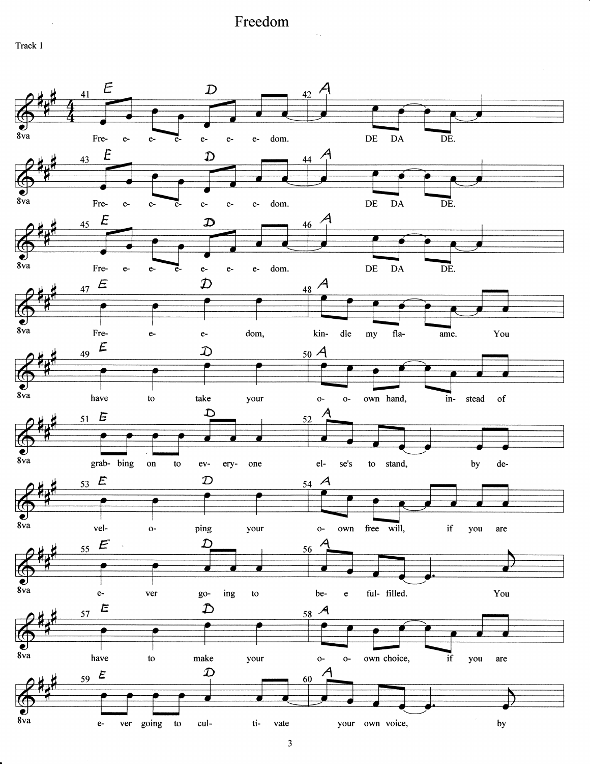$\sim$  .

Track 1



 $\mathfrak{Z}$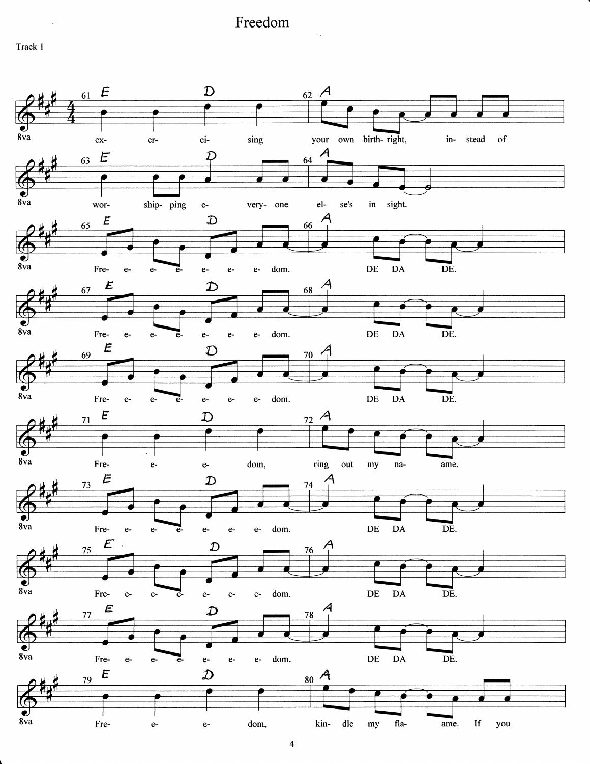$\sim$  .

Track 1

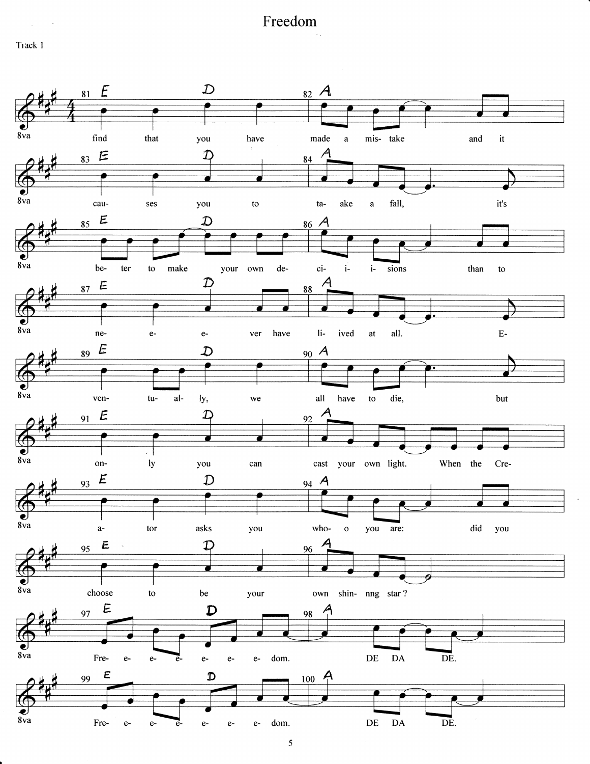Track 1

 $\alpha_{\rm{max}}=2$ 

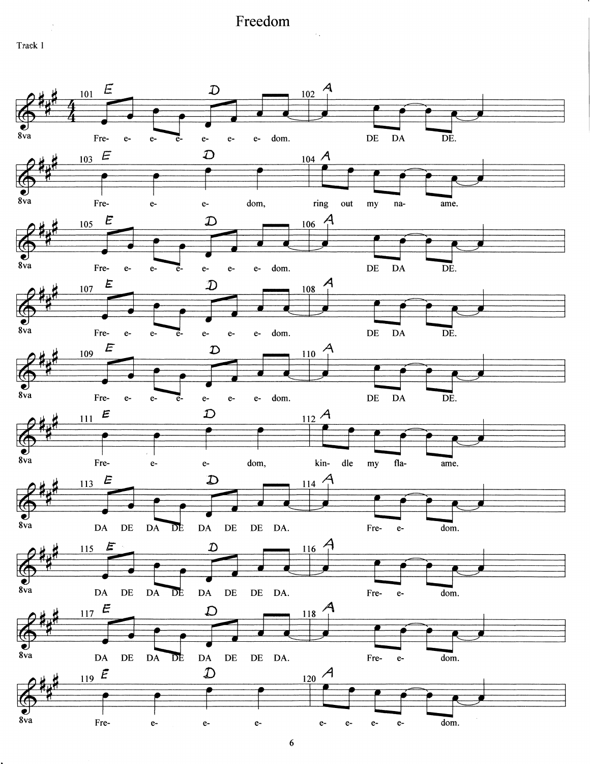Track 1



 $\boldsymbol{6}$